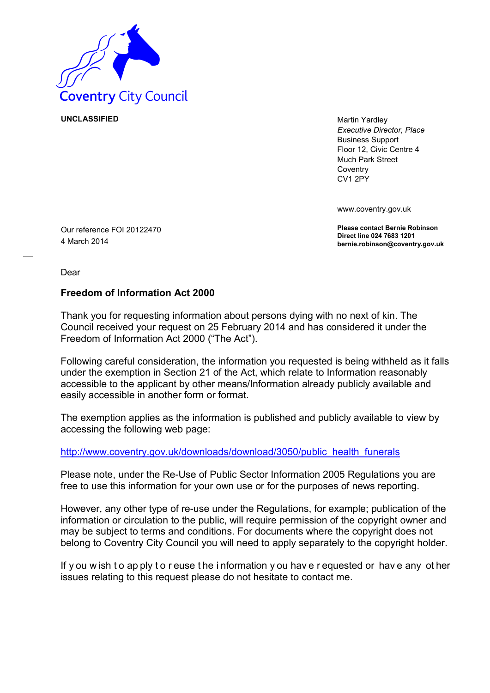

**UNCLASSIFIED** Martin Yardley

*Executive Director, Place* Business Support Floor 12, Civic Centre 4 Much Park Street **Coventry** CV1 2PY

www.coventry.gov.uk

**Please contact Bernie Robinson Direct line 024 7683 1201 bernie.robinson@coventry.gov.uk**

Our reference FOI 20122470 4 March 2014

Dear

## **Freedom of Information Act 2000**

Thank you for requesting information about persons dying with no next of kin. The Council received your request on 25 February 2014 and has considered it under the Freedom of Information Act 2000 ("The Act").

Following careful consideration, the information you requested is being withheld as it falls under the exemption in Section 21 of the Act, which relate to Information reasonably accessible to the applicant by other means/Information already publicly available and easily accessible in another form or format.

The exemption applies as the information is published and publicly available to view by accessing the following web page:

[http://www.coventry.gov.uk/downloads/download/3050/public health funerals](http://www.coventry.gov.uk/downloads/download/3050/public_health_funerals)

Please note, under the Re-Use of Public Sector Information 2005 Regulations you are free to use this information for your own use or for the purposes of news reporting.

However, any other type of re-use under the Regulations, for example; publication of the information or circulation to the public, will require permission of the copyright owner and may be subject to terms and conditions. For documents where the copyright does not belong to Coventry City Council you will need to apply separately to the copyright holder.

If y ou w ish t o ap ply t o r euse t he i nformation y ou hav e r equested or hav e any ot her issues relating to this request please do not hesitate to contact me.